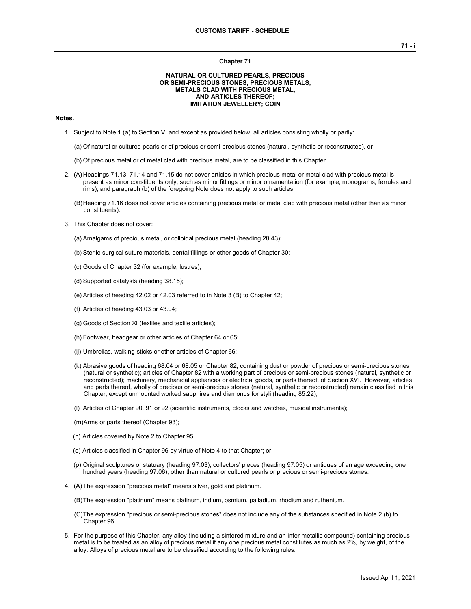#### **Chapter 71**

## **NATURAL OR CULTURED PEARLS, PRECIOUS OR SEMI-PRECIOUS STONES, PRECIOUS METALS, METALS CLAD WITH PRECIOUS METAL, AND ARTICLES THEREOF; IMITATION JEWELLERY; COIN**

## **Notes.**

- 1. Subject to Note 1 (a) to Section VI and except as provided below, all articles consisting wholly or partly:
	- (a) Of natural or cultured pearls or of precious or semi-precious stones (natural, synthetic or reconstructed), or
	- (b) Of precious metal or of metal clad with precious metal, are to be classified in this Chapter.
- 2. (A) Headings 71.13, 71.14 and 71.15 do not cover articles in which precious metal or metal clad with precious metal is present as minor constituents only, such as minor fittings or minor ornamentation (for example, monograms, ferrules and rims), and paragraph (b) of the foregoing Note does not apply to such articles.
	- (B)Heading 71.16 does not cover articles containing precious metal or metal clad with precious metal (other than as minor constituents).
- 3. This Chapter does not cover:
	- (a) Amalgams of precious metal, or colloidal precious metal (heading 28.43);
	- (b) Sterile surgical suture materials, dental fillings or other goods of Chapter 30;
	- (c) Goods of Chapter 32 (for example, lustres);
	- (d) Supported catalysts (heading 38.15);
	- (e) Articles of heading 42.02 or 42.03 referred to in Note 3 (B) to Chapter 42;
	- (f) Articles of heading 43.03 or 43.04;
	- (g) Goods of Section XI (textiles and textile articles);
	- (h) Footwear, headgear or other articles of Chapter 64 or 65;
	- (ij) Umbrellas, walking-sticks or other articles of Chapter 66;
	- (k) Abrasive goods of heading 68.04 or 68.05 or Chapter 82, containing dust or powder of precious or semi-precious stones (natural or synthetic); articles of Chapter 82 with a working part of precious or semi-precious stones (natural, synthetic or reconstructed); machinery, mechanical appliances or electrical goods, or parts thereof, of Section XVI. However, articles and parts thereof, wholly of precious or semi-precious stones (natural, synthetic or reconstructed) remain classified in this Chapter, except unmounted worked sapphires and diamonds for styli (heading 85.22);
	- (l) Articles of Chapter 90, 91 or 92 (scientific instruments, clocks and watches, musical instruments);
	- (m)Arms or parts thereof (Chapter 93);
	- (n) Articles covered by Note 2 to Chapter 95;
	- (o) Articles classified in Chapter 96 by virtue of Note 4 to that Chapter; or
	- (p) Original sculptures or statuary (heading 97.03), collectors' pieces (heading 97.05) or antiques of an age exceeding one hundred years (heading 97.06), other than natural or cultured pearls or precious or semi-precious stones.
- 4. (A) The expression "precious metal" means silver, gold and platinum.
	- (B)The expression "platinum" means platinum, iridium, osmium, palladium, rhodium and ruthenium.
	- (C)The expression "precious or semi-precious stones" does not include any of the substances specified in Note 2 (b) to Chapter 96.
- 5. For the purpose of this Chapter, any alloy (including a sintered mixture and an inter-metallic compound) containing precious metal is to be treated as an alloy of precious metal if any one precious metal constitutes as much as 2%, by weight, of the alloy. Alloys of precious metal are to be classified according to the following rules: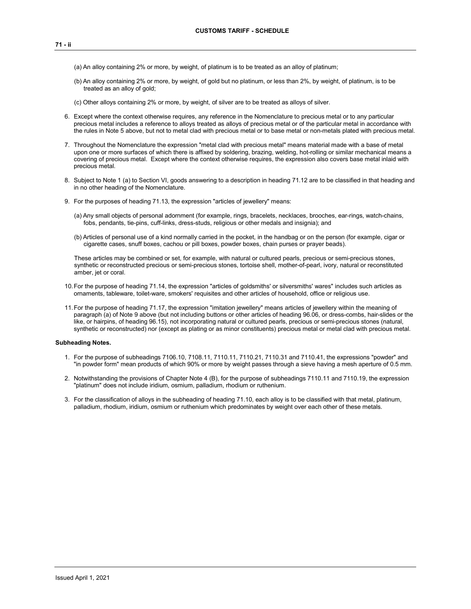- (a) An alloy containing 2% or more, by weight, of platinum is to be treated as an alloy of platinum;
- (b) An alloy containing 2% or more, by weight, of gold but no platinum, or less than 2%, by weight, of platinum, is to be treated as an alloy of gold;
- (c) Other alloys containing 2% or more, by weight, of silver are to be treated as alloys of silver.
- 6. Except where the context otherwise requires, any reference in the Nomenclature to precious metal or to any particular precious metal includes a reference to alloys treated as alloys of precious metal or of the particular metal in accordance with the rules in Note 5 above, but not to metal clad with precious metal or to base metal or non-metals plated with precious metal.
- 7. Throughout the Nomenclature the expression "metal clad with precious metal" means material made with a base of metal upon one or more surfaces of which there is affixed by soldering, brazing, welding, hot-rolling or similar mechanical means a covering of precious metal. Except where the context otherwise requires, the expression also covers base metal inlaid with precious metal.
- 8. Subject to Note 1 (a) to Section VI, goods answering to a description in heading 71.12 are to be classified in that heading and in no other heading of the Nomenclature.
- 9. For the purposes of heading 71.13, the expression "articles of jewellery" means:
	- (a) Any small objects of personal adornment (for example, rings, bracelets, necklaces, brooches, ear-rings, watch-chains, fobs, pendants, tie-pins, cuff-links, dress-studs, religious or other medals and insignia); and
	- (b) Articles of personal use of a kind normally carried in the pocket, in the handbag or on the person (for example, cigar or cigarette cases, snuff boxes, cachou or pill boxes, powder boxes, chain purses or prayer beads).

These articles may be combined or set, for example, with natural or cultured pearls, precious or semi-precious stones, synthetic or reconstructed precious or semi-precious stones, tortoise shell, mother-of-pearl, ivory, natural or reconstituted amber, jet or coral.

- 10.For the purpose of heading 71.14, the expression "articles of goldsmiths' or silversmiths' wares" includes such articles as ornaments, tableware, toilet-ware, smokers' requisites and other articles of household, office or religious use.
- 11.For the purpose of heading 71.17, the expression "imitation jewellery" means articles of jewellery within the meaning of paragraph (a) of Note 9 above (but not including buttons or other articles of heading 96.06, or dress-combs, hair-slides or the like, or hairpins, of heading 96.15), not incorporating natural or cultured pearls, precious or semi-precious stones (natural, synthetic or reconstructed) nor (except as plating or as minor constituents) precious metal or metal clad with precious metal.

### **Subheading Notes.**

- 1. For the purpose of subheadings 7106.10, 7108.11, 7110.11, 7110.21, 7110.31 and 7110.41, the expressions "powder" and "in powder form" mean products of which 90% or more by weight passes through a sieve having a mesh aperture of 0.5 mm.
- 2. Notwithstanding the provisions of Chapter Note 4 (B), for the purpose of subheadings 7110.11 and 7110.19, the expression "platinum" does not include iridium, osmium, palladium, rhodium or ruthenium.
- 3. For the classification of alloys in the subheading of heading 71.10, each alloy is to be classified with that metal, platinum, palladium, rhodium, iridium, osmium or ruthenium which predominates by weight over each other of these metals.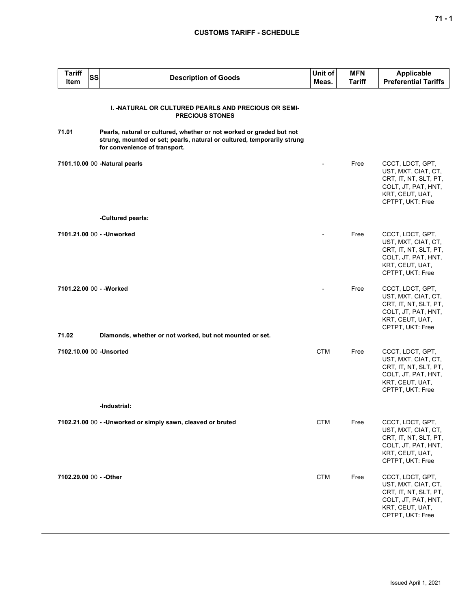| <b>Tariff</b><br><b>Item</b> | SS | <b>Description of Goods</b>                                                                                                                                                      | Unit of<br>Meas. | <b>MFN</b><br><b>Tariff</b> | <b>Applicable</b><br><b>Preferential Tariffs</b>                                                                               |
|------------------------------|----|----------------------------------------------------------------------------------------------------------------------------------------------------------------------------------|------------------|-----------------------------|--------------------------------------------------------------------------------------------------------------------------------|
|                              |    | <b>I. - NATURAL OR CULTURED PEARLS AND PRECIOUS OR SEMI-</b><br><b>PRECIOUS STONES</b>                                                                                           |                  |                             |                                                                                                                                |
| 71.01                        |    | Pearls, natural or cultured, whether or not worked or graded but not<br>strung, mounted or set; pearls, natural or cultured, temporarily strung<br>for convenience of transport. |                  |                             |                                                                                                                                |
|                              |    | 7101.10.00 00 -Natural pearls                                                                                                                                                    |                  | Free                        | CCCT, LDCT, GPT,<br>UST, MXT, CIAT, CT,<br>CRT, IT, NT, SLT, PT,<br>COLT, JT, PAT, HNT,<br>KRT, CEUT, UAT,<br>CPTPT, UKT: Free |
|                              |    | -Cultured pearls:                                                                                                                                                                |                  |                             |                                                                                                                                |
|                              |    | 7101.21.00 00 - - Unworked                                                                                                                                                       |                  | Free                        | CCCT, LDCT, GPT,<br>UST, MXT, CIAT, CT,<br>CRT, IT, NT, SLT, PT,<br>COLT, JT, PAT, HNT,<br>KRT, CEUT, UAT,<br>CPTPT, UKT: Free |
| 71.02                        |    | 7101.22.00 00 - - Worked<br>Diamonds, whether or not worked, but not mounted or set.                                                                                             |                  | Free                        | CCCT, LDCT, GPT,<br>UST, MXT, CIAT, CT,<br>CRT, IT, NT, SLT, PT,<br>COLT, JT, PAT, HNT,<br>KRT, CEUT, UAT,<br>CPTPT, UKT: Free |
|                              |    |                                                                                                                                                                                  |                  |                             |                                                                                                                                |
|                              |    | 7102.10.00 00 - Unsorted                                                                                                                                                         | <b>CTM</b>       | Free                        | CCCT, LDCT, GPT,<br>UST, MXT, CIAT, CT,<br>CRT, IT, NT, SLT, PT,<br>COLT, JT, PAT, HNT,<br>KRT, CEUT, UAT,<br>CPTPT, UKT: Free |
|                              |    | -Industrial:                                                                                                                                                                     |                  |                             |                                                                                                                                |
|                              |    | 7102.21.00 00 - -Unworked or simply sawn, cleaved or bruted                                                                                                                      | <b>CTM</b>       | Free                        | CCCT, LDCT, GPT,<br>UST, MXT, CIAT, CT,<br>CRT, IT, NT, SLT, PT,<br>COLT, JT, PAT, HNT,<br>KRT, CEUT, UAT,<br>CPTPT, UKT: Free |
| 7102.29.00 00 - - Other      |    |                                                                                                                                                                                  | <b>CTM</b>       | Free                        | CCCT, LDCT, GPT,<br>UST, MXT, CIAT, CT,<br>CRT, IT, NT, SLT, PT,<br>COLT, JT, PAT, HNT,<br>KRT, CEUT, UAT,<br>CPTPT, UKT: Free |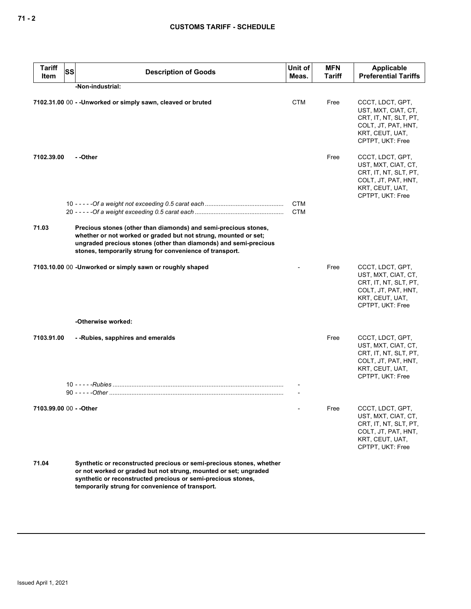| <b>Tariff</b><br>Item | <b>SS</b> | <b>Description of Goods</b>                                                                                                                                                                                                                                        | Unit of<br>Meas. | <b>MFN</b><br>Tariff | Applicable<br><b>Preferential Tariffs</b>                                                                                      |
|-----------------------|-----------|--------------------------------------------------------------------------------------------------------------------------------------------------------------------------------------------------------------------------------------------------------------------|------------------|----------------------|--------------------------------------------------------------------------------------------------------------------------------|
|                       |           | -Non-industrial:                                                                                                                                                                                                                                                   |                  |                      |                                                                                                                                |
|                       |           | 7102.31.00 00 - -Unworked or simply sawn, cleaved or bruted                                                                                                                                                                                                        | <b>CTM</b>       | Free                 | CCCT, LDCT, GPT,<br>UST, MXT, CIAT, CT,<br>CRT, IT, NT, SLT, PT,<br>COLT, JT, PAT, HNT,<br>KRT, CEUT, UAT,<br>CPTPT, UKT: Free |
| 7102.39.00            |           | - -Other                                                                                                                                                                                                                                                           |                  | Free                 | CCCT, LDCT, GPT,<br>UST, MXT, CIAT, CT,<br>CRT, IT, NT, SLT, PT,<br>COLT, JT, PAT, HNT,<br>KRT, CEUT, UAT,<br>CPTPT, UKT: Free |
|                       |           |                                                                                                                                                                                                                                                                    | <b>CTM</b>       |                      |                                                                                                                                |
|                       |           |                                                                                                                                                                                                                                                                    | <b>CTM</b>       |                      |                                                                                                                                |
| 71.03                 |           | Precious stones (other than diamonds) and semi-precious stones,<br>whether or not worked or graded but not strung, mounted or set;<br>ungraded precious stones (other than diamonds) and semi-precious<br>stones, temporarily strung for convenience of transport. |                  |                      |                                                                                                                                |
|                       |           | 7103.10.00 00 -Unworked or simply sawn or roughly shaped                                                                                                                                                                                                           |                  | Free                 | CCCT, LDCT, GPT,<br>UST, MXT, CIAT, CT,<br>CRT, IT, NT, SLT, PT,<br>COLT, JT, PAT, HNT,<br>KRT, CEUT, UAT,<br>CPTPT, UKT: Free |
|                       |           | -Otherwise worked:                                                                                                                                                                                                                                                 |                  |                      |                                                                                                                                |
| 7103.91.00            |           | --Rubies, sapphires and emeralds                                                                                                                                                                                                                                   |                  | Free                 | CCCT, LDCT, GPT,<br>UST, MXT, CIAT, CT,<br>CRT, IT, NT, SLT, PT,<br>COLT, JT, PAT, HNT,<br>KRT, CEUT, UAT,<br>CPTPT, UKT: Free |
|                       |           |                                                                                                                                                                                                                                                                    |                  |                      |                                                                                                                                |
|                       |           |                                                                                                                                                                                                                                                                    |                  |                      |                                                                                                                                |
|                       |           |                                                                                                                                                                                                                                                                    |                  | Free                 | CCCT, LDCT, GPT,<br>UST, MXT, CIAT, CT,<br>CRT, IT, NT, SLT, PT,<br>COLT, JT, PAT, HNT,<br>KRT, CEUT, UAT,<br>CPTPT, UKT: Free |
| 71.04                 |           | Synthetic or reconstructed precious or semi-precious stones, whether<br>or not worked or graded but not strung, mounted or set; ungraded<br>synthetic or reconstructed precious or semi-precious stones,<br>temporarily strung for convenience of transport.       |                  |                      |                                                                                                                                |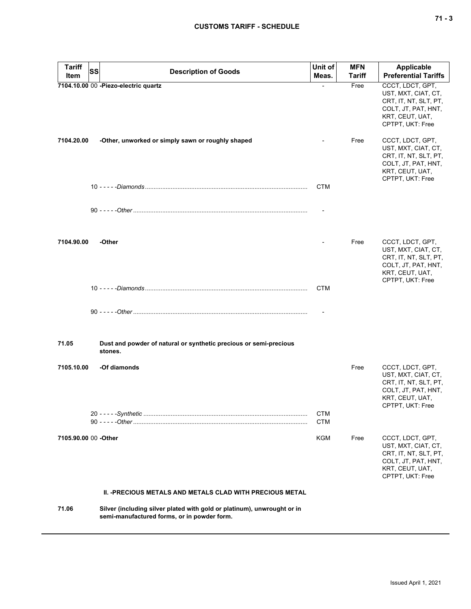| <b>Tariff</b>        | SS<br><b>Description of Goods</b>                                                                                      | Unit of                  | <b>MFN</b>    | <b>Applicable</b>                                                                                                              |
|----------------------|------------------------------------------------------------------------------------------------------------------------|--------------------------|---------------|--------------------------------------------------------------------------------------------------------------------------------|
| Item                 |                                                                                                                        | Meas.                    | <b>Tariff</b> | <b>Preferential Tariffs</b>                                                                                                    |
|                      | 7104.10.00 00 -Piezo-electric quartz                                                                                   |                          | Free          | CCCT, LDCT, GPT,<br>UST, MXT, CIAT, CT,<br>CRT, IT, NT, SLT, PT,<br>COLT, JT, PAT, HNT,<br>KRT, CEUT, UAT,<br>CPTPT, UKT: Free |
| 7104.20.00           | -Other, unworked or simply sawn or roughly shaped                                                                      |                          | Free          | CCCT, LDCT, GPT,<br>UST, MXT, CIAT, CT,<br>CRT, IT, NT, SLT, PT,<br>COLT, JT, PAT, HNT,<br>KRT, CEUT, UAT,<br>CPTPT, UKT: Free |
|                      |                                                                                                                        | <b>CTM</b>               |               |                                                                                                                                |
|                      |                                                                                                                        |                          |               |                                                                                                                                |
| 7104.90.00           | -Other                                                                                                                 |                          | Free          | CCCT, LDCT, GPT,<br>UST, MXT, CIAT, CT,<br>CRT, IT, NT, SLT, PT,<br>COLT, JT, PAT, HNT,<br>KRT, CEUT, UAT,<br>CPTPT, UKT: Free |
|                      |                                                                                                                        | <b>CTM</b>               |               |                                                                                                                                |
|                      |                                                                                                                        |                          |               |                                                                                                                                |
|                      |                                                                                                                        |                          |               |                                                                                                                                |
| 71.05                | Dust and powder of natural or synthetic precious or semi-precious<br>stones.                                           |                          |               |                                                                                                                                |
| 7105.10.00           | -Of diamonds                                                                                                           |                          | Free          | CCCT, LDCT, GPT,<br>UST, MXT, CIAT, CT,<br>CRT, IT, NT, SLT, PT,<br>COLT, JT, PAT, HNT,<br>KRT, CEUT, UAT,<br>CPTPT, UKT: Free |
|                      |                                                                                                                        | <b>CTM</b><br><b>CTM</b> |               |                                                                                                                                |
| 7105.90.00 00 -Other |                                                                                                                        | KGM                      | Free          | CCCT, LDCT, GPT,<br>UST, MXT, CIAT, CT,<br>CRT, IT, NT, SLT, PT,<br>COLT, JT, PAT, HNT,<br>KRT, CEUT, UAT,<br>CPTPT, UKT: Free |
|                      | <b>II. -PRECIOUS METALS AND METALS CLAD WITH PRECIOUS METAL</b>                                                        |                          |               |                                                                                                                                |
| 71.06                | Silver (including silver plated with gold or platinum), unwrought or in<br>semi-manufactured forms, or in powder form. |                          |               |                                                                                                                                |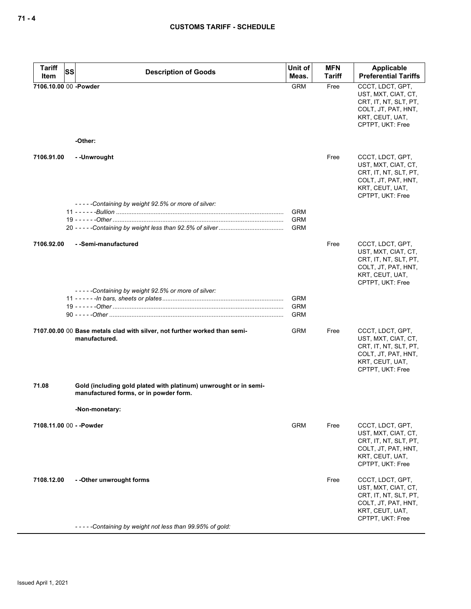| <b>Tariff</b>         | SS<br><b>Description of Goods</b>                                                                          | Unit of<br>Meas. | <b>MFN</b><br>Tariff | Applicable<br><b>Preferential Tariffs</b>                                                                                      |
|-----------------------|------------------------------------------------------------------------------------------------------------|------------------|----------------------|--------------------------------------------------------------------------------------------------------------------------------|
| Item                  |                                                                                                            |                  |                      |                                                                                                                                |
| 7106.10.00 00 -Powder | -Other:                                                                                                    | <b>GRM</b>       | Free                 | CCCT, LDCT, GPT,<br>UST, MXT, CIAT, CT,<br>CRT, IT, NT, SLT, PT,<br>COLT, JT, PAT, HNT,<br>KRT, CEUT, UAT,<br>CPTPT, UKT: Free |
|                       |                                                                                                            |                  |                      |                                                                                                                                |
| 7106.91.00            | - -Unwrought                                                                                               |                  | Free                 | CCCT, LDCT, GPT,<br>UST, MXT, CIAT, CT,<br>CRT, IT, NT, SLT, PT,<br>COLT, JT, PAT, HNT,<br>KRT, CEUT, UAT,<br>CPTPT, UKT: Free |
|                       | -----Containing by weight 92.5% or more of silver:                                                         |                  |                      |                                                                                                                                |
|                       |                                                                                                            | <b>GRM</b>       |                      |                                                                                                                                |
|                       |                                                                                                            | <b>GRM</b>       |                      |                                                                                                                                |
|                       |                                                                                                            | <b>GRM</b>       |                      |                                                                                                                                |
| 7106.92.00            | - -Semi-manufactured                                                                                       |                  | Free                 | CCCT, LDCT, GPT,<br>UST, MXT, CIAT, CT,<br>CRT, IT, NT, SLT, PT,<br>COLT, JT, PAT, HNT,<br>KRT, CEUT, UAT,<br>CPTPT, UKT: Free |
|                       | -----Containing by weight 92.5% or more of silver:                                                         |                  |                      |                                                                                                                                |
|                       |                                                                                                            | <b>GRM</b>       |                      |                                                                                                                                |
|                       |                                                                                                            | <b>GRM</b>       |                      |                                                                                                                                |
|                       |                                                                                                            | <b>GRM</b>       |                      |                                                                                                                                |
|                       |                                                                                                            |                  |                      |                                                                                                                                |
|                       | 7107.00.00 00 Base metals clad with silver, not further worked than semi-<br>manufactured.                 | <b>GRM</b>       | Free                 | CCCT, LDCT, GPT,<br>UST, MXT, CIAT, CT,<br>CRT, IT, NT, SLT, PT,<br>COLT, JT, PAT, HNT,<br>KRT, CEUT, UAT,<br>CPTPT, UKT: Free |
| 71.08                 | Gold (including gold plated with platinum) unwrought or in semi-<br>manufactured forms, or in powder form. |                  |                      |                                                                                                                                |
|                       | -Non-monetary:                                                                                             |                  |                      |                                                                                                                                |
|                       |                                                                                                            |                  |                      |                                                                                                                                |
|                       | 7108.11.00 00 - - Powder                                                                                   | <b>GRM</b>       | Free                 | CCCT, LDCT, GPT,<br>UST, MXT, CIAT, CT,<br>CRT, IT, NT, SLT, PT,<br>COLT, JT, PAT, HNT,<br>KRT, CEUT, UAT,<br>CPTPT, UKT: Free |
| 7108.12.00            | - - Other unwrought forms<br>-----Containing by weight not less than 99.95% of gold:                       |                  | Free                 | CCCT, LDCT, GPT,<br>UST, MXT, CIAT, CT,<br>CRT, IT, NT, SLT, PT,<br>COLT, JT, PAT, HNT,<br>KRT, CEUT, UAT,<br>CPTPT, UKT: Free |
|                       |                                                                                                            |                  |                      |                                                                                                                                |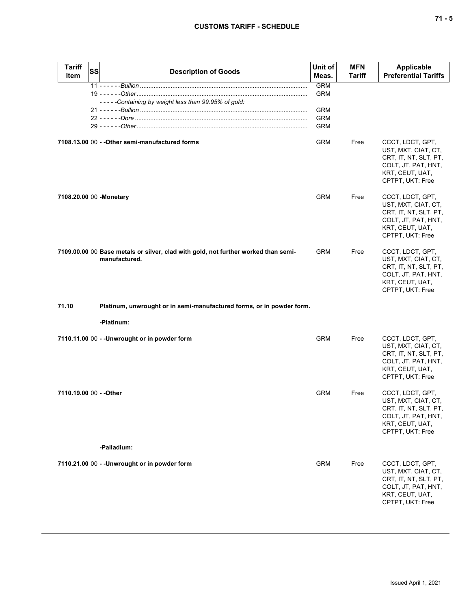| <b>Tariff</b><br><b>Item</b> | <b>SS</b> | <b>Description of Goods</b>                                                                         | Unit of<br>Meas.                                                   | <b>MFN</b><br><b>Tariff</b> | <b>Applicable</b><br><b>Preferential Tariffs</b>                                                                               |
|------------------------------|-----------|-----------------------------------------------------------------------------------------------------|--------------------------------------------------------------------|-----------------------------|--------------------------------------------------------------------------------------------------------------------------------|
|                              |           | -----Containing by weight less than 99.95% of gold:                                                 | <b>GRM</b><br><b>GRM</b><br><b>GRM</b><br><b>GRM</b><br><b>GRM</b> |                             |                                                                                                                                |
|                              |           | 7108.13.00 00 - - Other semi-manufactured forms                                                     | <b>GRM</b>                                                         | Free                        | CCCT, LDCT, GPT,<br>UST, MXT, CIAT, CT,<br>CRT, IT, NT, SLT, PT,<br>COLT, JT, PAT, HNT,<br>KRT, CEUT, UAT,<br>CPTPT, UKT: Free |
| 7108.20.00 00 -Monetary      |           |                                                                                                     | <b>GRM</b>                                                         | Free                        | CCCT, LDCT, GPT,<br>UST, MXT, CIAT, CT,<br>CRT, IT, NT, SLT, PT,<br>COLT, JT, PAT, HNT,<br>KRT, CEUT, UAT,<br>CPTPT, UKT: Free |
|                              |           | 7109.00.00 00 Base metals or silver, clad with gold, not further worked than semi-<br>manufactured. | <b>GRM</b>                                                         | Free                        | CCCT, LDCT, GPT,<br>UST, MXT, CIAT, CT,<br>CRT, IT, NT, SLT, PT,<br>COLT, JT, PAT, HNT,<br>KRT, CEUT, UAT,<br>CPTPT, UKT: Free |
| 71.10                        |           | Platinum, unwrought or in semi-manufactured forms, or in powder form.                               |                                                                    |                             |                                                                                                                                |
|                              |           | -Platinum:                                                                                          |                                                                    |                             |                                                                                                                                |
|                              |           | 7110.11.00 00 - - Unwrought or in powder form                                                       | <b>GRM</b>                                                         | Free                        | CCCT, LDCT, GPT,<br>UST, MXT, CIAT, CT,<br>CRT, IT, NT, SLT, PT,<br>COLT, JT, PAT, HNT,<br>KRT, CEUT, UAT,<br>CPTPT, UKT: Free |
| 7110.19.00 00 - - Other      |           |                                                                                                     | <b>GRM</b>                                                         | Free                        | CCCT, LDCT, GPT,<br>UST, MXT, CIAT, CT,<br>CRT, IT, NT, SLT, PT,<br>COLT, JT, PAT, HNT,<br>KRT, CEUT, UAT,<br>CPTPT, UKT: Free |
|                              |           | -Palladium:                                                                                         |                                                                    |                             |                                                                                                                                |
|                              |           | 7110.21.00 00 - - Unwrought or in powder form                                                       | GRM                                                                | Free                        | CCCT, LDCT, GPT,<br>UST, MXT, CIAT, CT,<br>CRT, IT, NT, SLT, PT,<br>COLT, JT, PAT, HNT,<br>KRT, CEUT, UAT,<br>CPTPT, UKT: Free |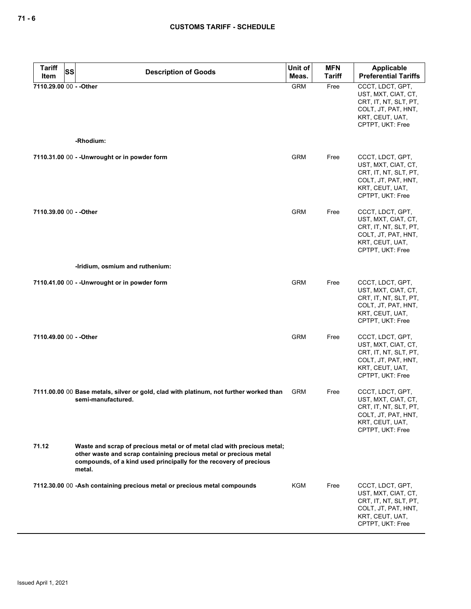| <b>Tariff</b><br><b>SS</b> | <b>Description of Goods</b>                                                                                                                                                                                                  | Unit of    | <b>MFN</b> | Applicable                                                                                                                     |
|----------------------------|------------------------------------------------------------------------------------------------------------------------------------------------------------------------------------------------------------------------------|------------|------------|--------------------------------------------------------------------------------------------------------------------------------|
| Item                       |                                                                                                                                                                                                                              | Meas.      | Tariff     | <b>Preferential Tariffs</b>                                                                                                    |
| 7110.29.00 00 - - Other    | -Rhodium:                                                                                                                                                                                                                    | <b>GRM</b> | Free       | CCCT, LDCT, GPT,<br>UST, MXT, CIAT, CT,<br>CRT, IT, NT, SLT, PT,<br>COLT, JT, PAT, HNT,<br>KRT, CEUT, UAT,<br>CPTPT, UKT: Free |
|                            |                                                                                                                                                                                                                              |            |            |                                                                                                                                |
|                            | 7110.31.00 00 - - Unwrought or in powder form                                                                                                                                                                                | <b>GRM</b> | Free       | CCCT, LDCT, GPT,<br>UST, MXT, CIAT, CT,<br>CRT, IT, NT, SLT, PT,<br>COLT, JT, PAT, HNT,<br>KRT, CEUT, UAT,<br>CPTPT, UKT: Free |
| 7110.39.00 00 - - Other    |                                                                                                                                                                                                                              | <b>GRM</b> | Free       | CCCT, LDCT, GPT,<br>UST, MXT, CIAT, CT,<br>CRT, IT, NT, SLT, PT,<br>COLT, JT, PAT, HNT,<br>KRT, CEUT, UAT,<br>CPTPT, UKT: Free |
|                            | -Iridium, osmium and ruthenium:                                                                                                                                                                                              |            |            |                                                                                                                                |
|                            | 7110.41.00 00 - -Unwrought or in powder form                                                                                                                                                                                 | <b>GRM</b> | Free       | CCCT, LDCT, GPT,<br>UST, MXT, CIAT, CT,<br>CRT, IT, NT, SLT, PT,<br>COLT, JT, PAT, HNT,<br>KRT, CEUT, UAT,<br>CPTPT, UKT: Free |
| 7110.49.00 00 - - Other    |                                                                                                                                                                                                                              | <b>GRM</b> | Free       | CCCT, LDCT, GPT,<br>UST, MXT, CIAT, CT,<br>CRT, IT, NT, SLT, PT,<br>COLT, JT, PAT, HNT,<br>KRT, CEUT, UAT,<br>CPTPT, UKT: Free |
|                            | 7111.00.00 00 Base metals, silver or gold, clad with platinum, not further worked than<br>semi-manufactured.                                                                                                                 | <b>GRM</b> | Free       | CCCT, LDCT, GPT,<br>UST, MXT, CIAT, CT,<br>CRT, IT, NT, SLT, PT,<br>COLT, JT, PAT, HNT,<br>KRT, CEUT, UAT,<br>CPTPT, UKT: Free |
| 71.12                      | Waste and scrap of precious metal or of metal clad with precious metal;<br>other waste and scrap containing precious metal or precious metal<br>compounds, of a kind used principally for the recovery of precious<br>metal. |            |            |                                                                                                                                |
|                            | 7112.30.00 00 -Ash containing precious metal or precious metal compounds                                                                                                                                                     | KGM        | Free       | CCCT, LDCT, GPT,<br>UST, MXT, CIAT, CT,<br>CRT, IT, NT, SLT, PT,<br>COLT, JT, PAT, HNT,<br>KRT, CEUT, UAT,<br>CPTPT, UKT: Free |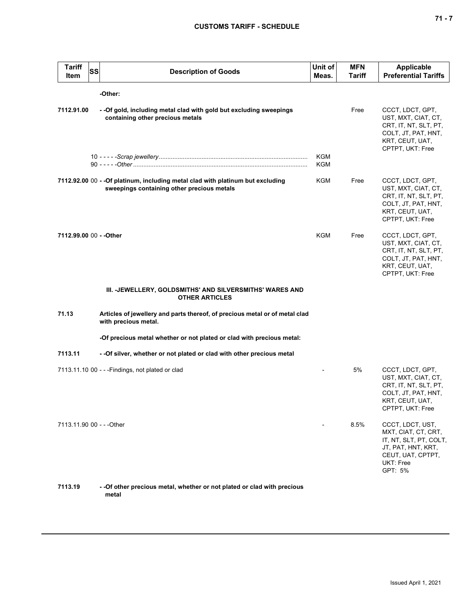| <b>Tariff</b><br>Item     | SS | <b>Description of Goods</b>                                                                                                   | Unit of<br>Meas.  | <b>MFN</b><br>Tariff | <b>Applicable</b><br><b>Preferential Tariffs</b>                                                                                     |
|---------------------------|----|-------------------------------------------------------------------------------------------------------------------------------|-------------------|----------------------|--------------------------------------------------------------------------------------------------------------------------------------|
|                           |    | -Other:                                                                                                                       |                   |                      |                                                                                                                                      |
| 7112.91.00                |    | - - Of gold, including metal clad with gold but excluding sweepings<br>containing other precious metals                       |                   | Free                 | CCCT, LDCT, GPT,<br>UST, MXT, CIAT, CT,<br>CRT, IT, NT, SLT, PT,<br>COLT, JT, PAT, HNT,<br>KRT, CEUT, UAT,<br>CPTPT, UKT: Free       |
|                           |    |                                                                                                                               | <b>KGM</b><br>KGM |                      |                                                                                                                                      |
|                           |    | 7112.92.00 00 - - Of platinum, including metal clad with platinum but excluding<br>sweepings containing other precious metals | KGM               | Free                 | CCCT, LDCT, GPT,<br>UST, MXT, CIAT, CT,<br>CRT, IT, NT, SLT, PT,<br>COLT, JT, PAT, HNT,<br>KRT, CEUT, UAT,<br>CPTPT, UKT: Free       |
| 7112.99.00 00 - - Other   |    |                                                                                                                               | <b>KGM</b>        | Free                 | CCCT, LDCT, GPT,<br>UST, MXT, CIAT, CT,<br>CRT, IT, NT, SLT, PT,<br>COLT, JT, PAT, HNT,<br>KRT, CEUT, UAT,<br>CPTPT, UKT: Free       |
|                           |    | III. - JEWELLERY, GOLDSMITHS' AND SILVERSMITHS' WARES AND<br><b>OTHER ARTICLES</b>                                            |                   |                      |                                                                                                                                      |
| 71.13                     |    | Articles of jewellery and parts thereof, of precious metal or of metal clad<br>with precious metal.                           |                   |                      |                                                                                                                                      |
|                           |    | -Of precious metal whether or not plated or clad with precious metal:                                                         |                   |                      |                                                                                                                                      |
| 7113.11                   |    | - - Of silver, whether or not plated or clad with other precious metal                                                        |                   |                      |                                                                                                                                      |
|                           |    | 7113.11.10 00 - - - Findings, not plated or clad                                                                              |                   | 5%                   | CCCT, LDCT, GPT,<br>UST, MXT, CIAT, CT,<br>CRT, IT, NT, SLT, PT,<br>COLT, JT, PAT, HNT,<br>KRT, CEUT, UAT,<br>CPTPT, UKT: Free       |
| 7113.11.90 00 - - - Other |    |                                                                                                                               |                   | 8.5%                 | CCCT, LDCT, UST,<br>MXT, CIAT, CT, CRT,<br>IT, NT, SLT, PT, COLT,<br>JT, PAT, HNT, KRT,<br>CEUT, UAT, CPTPT,<br>UKT: Free<br>GPT: 5% |
| 7113.19                   |    | - -Of other precious metal, whether or not plated or clad with precious<br>metal                                              |                   |                      |                                                                                                                                      |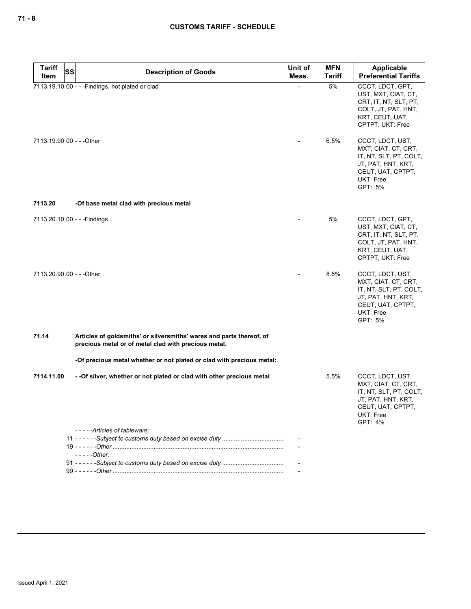| <b>Tariff</b><br><b>SS</b> | <b>Description of Goods</b>                                                                                                  | Unit of | <b>MFN</b>    | <b>Applicable</b>                                                                                                                                  |
|----------------------------|------------------------------------------------------------------------------------------------------------------------------|---------|---------------|----------------------------------------------------------------------------------------------------------------------------------------------------|
| Item                       |                                                                                                                              | Meas.   | <b>Tariff</b> | <b>Preferential Tariffs</b>                                                                                                                        |
| 7113.19.90 00 - - - Other  | 7113.19.10 00 - - - Findings, not plated or clad                                                                             |         | 5%<br>6.5%    | CCCT, LDCT, GPT,<br>UST, MXT, CIAT, CT,<br>CRT, IT, NT, SLT, PT,<br>COLT, JT, PAT, HNT,<br>KRT, CEUT, UAT,<br>CPTPT, UKT: Free<br>CCCT, LDCT, UST, |
|                            |                                                                                                                              |         |               | MXT, CIAT, CT, CRT,<br>IT, NT, SLT, PT, COLT,<br>JT, PAT, HNT, KRT,<br>CEUT, UAT, CPTPT,<br>UKT: Free<br>GPT: 5%                                   |
| 7113.20                    | -Of base metal clad with precious metal                                                                                      |         |               |                                                                                                                                                    |
|                            | 7113.20.10 00 - - - Findings                                                                                                 |         | 5%            | CCCT, LDCT, GPT,<br>UST, MXT, CIAT, CT,<br>CRT, IT, NT, SLT, PT,<br>COLT, JT, PAT, HNT,<br>KRT, CEUT, UAT,<br>CPTPT, UKT: Free                     |
| 7113.20.90 00 - - - Other  |                                                                                                                              |         | 8.5%          | CCCT, LDCT, UST,<br>MXT, CIAT, CT, CRT,<br>IT, NT, SLT, PT, COLT,<br>JT, PAT, HNT, KRT,<br>CEUT, UAT, CPTPT,<br>UKT: Free<br>GPT: 5%               |
| 71.14                      | Articles of goldsmiths' or silversmiths' wares and parts thereof, of<br>precious metal or of metal clad with precious metal. |         |               |                                                                                                                                                    |
|                            | -Of precious metal whether or not plated or clad with precious metal:                                                        |         |               |                                                                                                                                                    |
| 7114.11.00                 | - -Of silver, whether or not plated or clad with other precious metal                                                        |         | 5.5%          | CCCT, LDCT, UST,<br>MXT, CIAT, CT, CRT,<br>IT, NT, SLT, PT, COLT,<br>JT, PAT, HNT, KRT,<br>CEUT, UAT, CPTPT,<br>UKT: Free<br>GPT: 4%               |
|                            | -----Articles of tableware:                                                                                                  |         |               |                                                                                                                                                    |
|                            |                                                                                                                              |         |               |                                                                                                                                                    |
|                            | $---Other:$                                                                                                                  |         |               |                                                                                                                                                    |
|                            |                                                                                                                              |         |               |                                                                                                                                                    |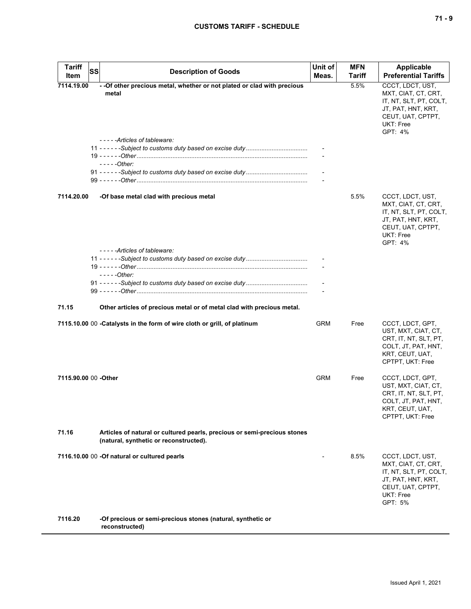| Tariff<br>Item       | <b>SS</b> | <b>Description of Goods</b>                                                                                        | Unit of<br>Meas. | <b>MFN</b><br>Tariff | Applicable<br><b>Preferential Tariffs</b>                                                                                            |
|----------------------|-----------|--------------------------------------------------------------------------------------------------------------------|------------------|----------------------|--------------------------------------------------------------------------------------------------------------------------------------|
| 7114.19.00           |           | - - Of other precious metal, whether or not plated or clad with precious<br>metal<br>-----Articles of tableware:   |                  | 5.5%                 | CCCT, LDCT, UST,<br>MXT, CIAT, CT, CRT,<br>IT, NT, SLT, PT, COLT,<br>JT, PAT, HNT, KRT,<br>CEUT, UAT, CPTPT,<br>UKT: Free<br>GPT: 4% |
|                      |           | - - - - - Other:                                                                                                   |                  |                      |                                                                                                                                      |
|                      |           |                                                                                                                    |                  |                      |                                                                                                                                      |
| 7114.20.00           |           | -Of base metal clad with precious metal                                                                            |                  | 5.5%                 | CCCT, LDCT, UST,<br>MXT, CIAT, CT, CRT,<br>IT, NT, SLT, PT, COLT,<br>JT, PAT, HNT, KRT,<br>CEUT, UAT, CPTPT,<br>UKT: Free<br>GPT: 4% |
|                      |           | -----Articles of tableware:                                                                                        |                  |                      |                                                                                                                                      |
|                      |           | $---Other:$                                                                                                        |                  |                      |                                                                                                                                      |
|                      |           |                                                                                                                    |                  |                      |                                                                                                                                      |
| 71.15                |           | Other articles of precious metal or of metal clad with precious metal.                                             |                  |                      |                                                                                                                                      |
|                      |           | 7115.10.00 00 - Catalysts in the form of wire cloth or grill, of platinum                                          | <b>GRM</b>       | Free                 | CCCT, LDCT, GPT,<br>UST, MXT, CIAT, CT,<br>CRT, IT, NT, SLT, PT,<br>COLT, JT, PAT, HNT,<br>KRT, CEUT, UAT,<br>CPTPT, UKT: Free       |
| 7115.90.00 00 -Other |           |                                                                                                                    | <b>GRM</b>       | Free                 | CCCT, LDCT, GPT,<br>UST, MXT, CIAT, CT,<br>CRT, IT, NT, SLT, PT,<br>COLT, JT, PAT, HNT,<br>KRT, CEUT, UAT,<br>CPTPT, UKT: Free       |
| 71.16                |           | Articles of natural or cultured pearls, precious or semi-precious stones<br>(natural, synthetic or reconstructed). |                  |                      |                                                                                                                                      |
|                      |           | 7116.10.00 00 -Of natural or cultured pearls                                                                       |                  | 8.5%                 | CCCT, LDCT, UST,<br>MXT, CIAT, CT, CRT,<br>IT, NT, SLT, PT, COLT,<br>JT, PAT, HNT, KRT,<br>CEUT, UAT, CPTPT,<br>UKT: Free<br>GPT: 5% |
| 7116.20              |           | -Of precious or semi-precious stones (natural, synthetic or<br>reconstructed)                                      |                  |                      |                                                                                                                                      |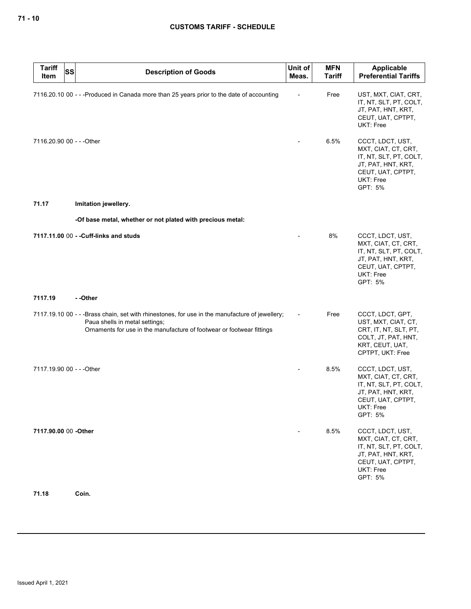| <b>Tariff</b><br>Item     | <b>SS</b> | <b>Description of Goods</b>                                                                                                                                                                               | Unit of<br>Meas.         | <b>MFN</b><br><b>Tariff</b> | Applicable<br><b>Preferential Tariffs</b>                                                                                            |
|---------------------------|-----------|-----------------------------------------------------------------------------------------------------------------------------------------------------------------------------------------------------------|--------------------------|-----------------------------|--------------------------------------------------------------------------------------------------------------------------------------|
|                           |           | 7116.20.10 00 - - -Produced in Canada more than 25 years prior to the date of accounting                                                                                                                  |                          | Free                        | UST, MXT, CIAT, CRT,<br>IT, NT, SLT, PT, COLT,<br>JT, PAT, HNT, KRT,<br>CEUT, UAT, CPTPT,<br>UKT: Free                               |
| 7116.20.90 00 - - - Other |           |                                                                                                                                                                                                           |                          | 6.5%                        | CCCT, LDCT, UST,<br>MXT, CIAT, CT, CRT,<br>IT, NT, SLT, PT, COLT,<br>JT, PAT, HNT, KRT,<br>CEUT, UAT, CPTPT,<br>UKT: Free<br>GPT: 5% |
| 71.17                     |           | Imitation jewellery.                                                                                                                                                                                      |                          |                             |                                                                                                                                      |
|                           |           | -Of base metal, whether or not plated with precious metal:                                                                                                                                                |                          |                             |                                                                                                                                      |
|                           |           | 7117.11.00 00 - - Cuff-links and studs                                                                                                                                                                    |                          | 8%                          | CCCT, LDCT, UST,<br>MXT, CIAT, CT, CRT,<br>IT, NT, SLT, PT, COLT,<br>JT, PAT, HNT, KRT,<br>CEUT, UAT, CPTPT,<br>UKT: Free<br>GPT: 5% |
| 7117.19                   |           | - -Other                                                                                                                                                                                                  |                          |                             |                                                                                                                                      |
|                           |           | 7117.19.10 00 - - -Brass chain, set with rhinestones, for use in the manufacture of jewellery;<br>Paua shells in metal settings;<br>Ornaments for use in the manufacture of footwear or footwear fittings | $\overline{\phantom{a}}$ | Free                        | CCCT, LDCT, GPT,<br>UST, MXT, CIAT, CT,<br>CRT, IT, NT, SLT, PT,<br>COLT, JT, PAT, HNT,<br>KRT, CEUT, UAT,<br>CPTPT, UKT: Free       |
| 7117.19.90 00 - - - Other |           |                                                                                                                                                                                                           |                          | 8.5%                        | CCCT, LDCT, UST,<br>MXT, CIAT, CT, CRT,<br>IT, NT, SLT, PT, COLT,<br>JT, PAT, HNT, KRT,<br>CEUT, UAT, CPTPT,<br>UKT: Free<br>GPT: 5% |
| 7117.90.00 00 - Other     |           |                                                                                                                                                                                                           |                          | 8.5%                        | CCCT, LDCT, UST,<br>MXT, CIAT, CT, CRT,<br>IT, NT, SLT, PT, COLT,<br>JT, PAT, HNT, KRT,<br>CEUT, UAT, CPTPT,<br>UKT: Free<br>GPT: 5% |
| 71.18                     |           | Coin.                                                                                                                                                                                                     |                          |                             |                                                                                                                                      |